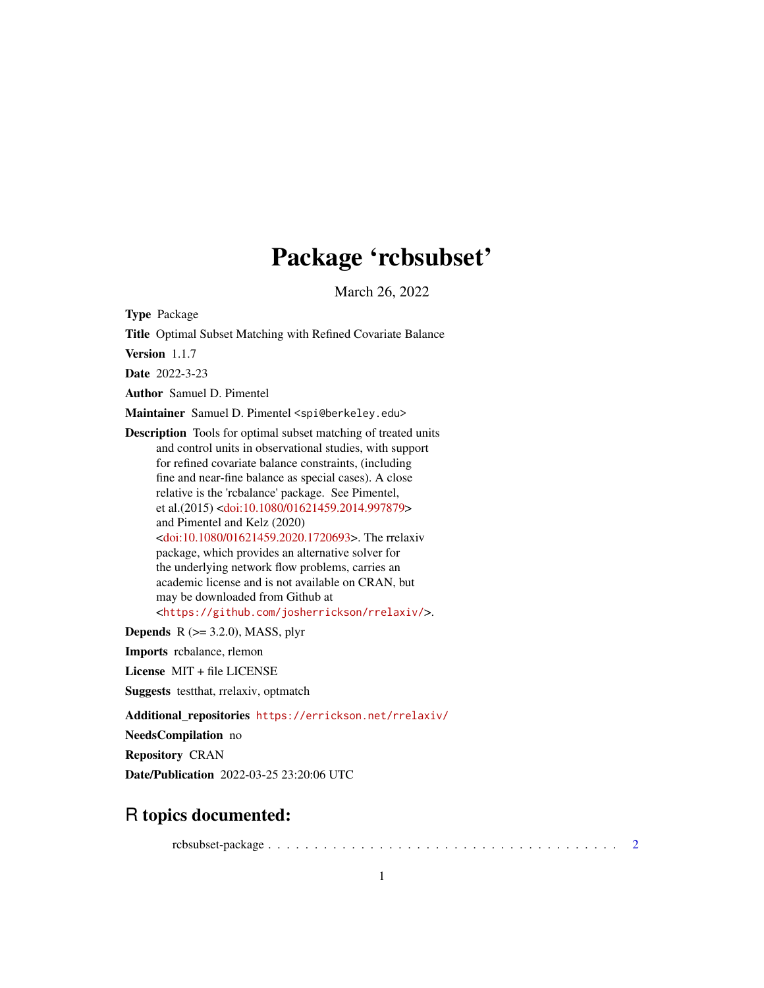# Package 'rcbsubset'

March 26, 2022

Type Package

Title Optimal Subset Matching with Refined Covariate Balance

Version 1.1.7

Date 2022-3-23

Author Samuel D. Pimentel

Maintainer Samuel D. Pimentel <spi@berkeley.edu>

Description Tools for optimal subset matching of treated units and control units in observational studies, with support for refined covariate balance constraints, (including fine and near-fine balance as special cases). A close relative is the 'rcbalance' package. See Pimentel, et al.(2015) [<doi:10.1080/01621459.2014.997879>](https://doi.org/10.1080/01621459.2014.997879) and Pimentel and Kelz (2020) [<doi:10.1080/01621459.2020.1720693>](https://doi.org/10.1080/01621459.2020.1720693). The rrelaxiv package, which provides an alternative solver for the underlying network flow problems, carries an academic license and is not available on CRAN, but may be downloaded from Github at <<https://github.com/josherrickson/rrelaxiv/>>.

**Depends**  $R$  ( $>= 3.2.0$ ), MASS, plyr

Imports rcbalance, rlemon

License MIT + file LICENSE

Suggests testthat, rrelaxiv, optmatch

Additional\_repositories <https://errickson.net/rrelaxiv/>

NeedsCompilation no

Repository CRAN

Date/Publication 2022-03-25 23:20:06 UTC

# R topics documented:

rcbsubset-package . . . . . . . . . . . . . . . . . . . . . . . . . . . . . . . . . . . . . . [2](#page-1-0)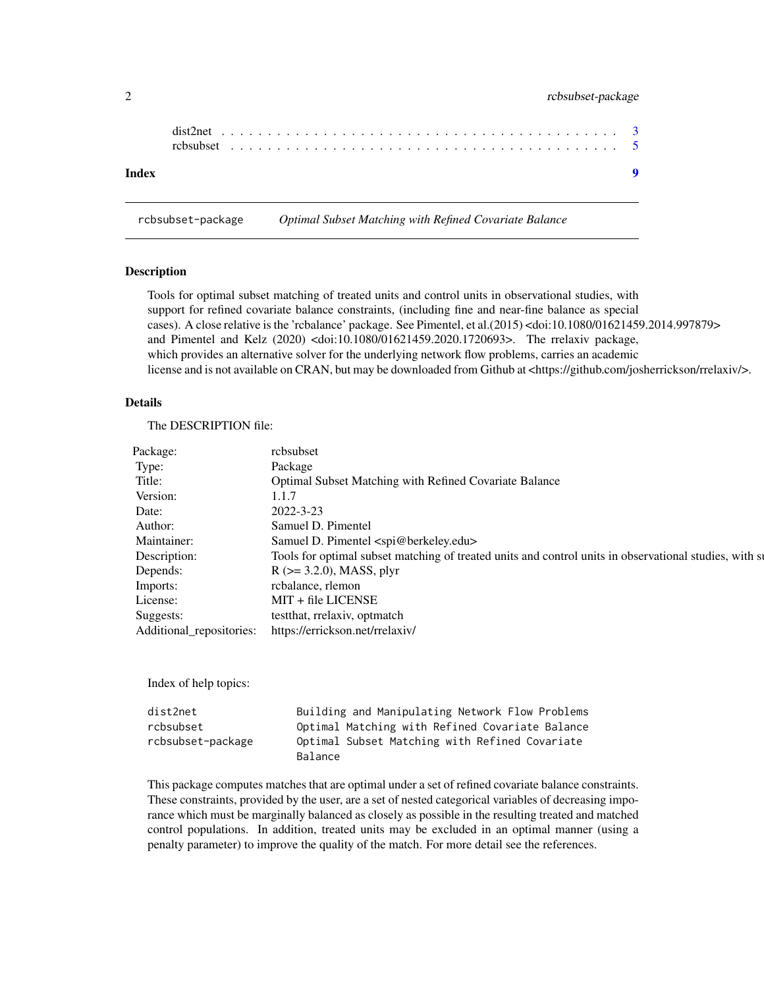# <span id="page-1-0"></span>2 rcbsubset-package

| Index |  |  |  |  |  |  |  |  |  |  |  |  |  |  |  |  |  |  |  |  |
|-------|--|--|--|--|--|--|--|--|--|--|--|--|--|--|--|--|--|--|--|--|

rcbsubset-package *Optimal Subset Matching with Refined Covariate Balance*

# Description

Tools for optimal subset matching of treated units and control units in observational studies, with support for refined covariate balance constraints, (including fine and near-fine balance as special cases). A close relative is the 'rcbalance' package. See Pimentel, et al.(2015) <doi:10.1080/01621459.2014.997879> and Pimentel and Kelz (2020) <doi:10.1080/01621459.2020.1720693>. The rrelaxiv package, which provides an alternative solver for the underlying network flow problems, carries an academic license and is not available on CRAN, but may be downloaded from Github at <https://github.com/josherrickson/rrelaxiv/>.

#### Details

The DESCRIPTION file:

| Type:        |                                                                                                        |
|--------------|--------------------------------------------------------------------------------------------------------|
|              | Package                                                                                                |
| Title:       | Optimal Subset Matching with Refined Covariate Balance                                                 |
| Version:     | 1.1.7                                                                                                  |
| Date:        | 2022-3-23                                                                                              |
| Author:      | Samuel D. Pimentel                                                                                     |
| Maintainer:  | Samuel D. Pimentel <spi@berkeley.edu></spi@berkeley.edu>                                               |
| Description: | Tools for optimal subset matching of treated units and control units in observational studies, with st |
| Depends:     | $R$ ( $>=$ 3.2.0), MASS, plyr                                                                          |
| Imports:     | rcbalance, rlemon                                                                                      |
| License:     | MIT + file LICENSE                                                                                     |
| Suggests:    | testthat, rrelaxiv, optmatch                                                                           |
|              | Additional_repositories: https://errickson.net/rrelaxiv/                                               |

Index of help topics:

| dist2net          | Building and Manipulating Network Flow Problems |
|-------------------|-------------------------------------------------|
| rcbsubset         | Optimal Matching with Refined Covariate Balance |
| rcbsubset-package | Optimal Subset Matching with Refined Covariate  |
|                   | Balance                                         |

This package computes matches that are optimal under a set of refined covariate balance constraints. These constraints, provided by the user, are a set of nested categorical variables of decreasing imporance which must be marginally balanced as closely as possible in the resulting treated and matched control populations. In addition, treated units may be excluded in an optimal manner (using a penalty parameter) to improve the quality of the match. For more detail see the references.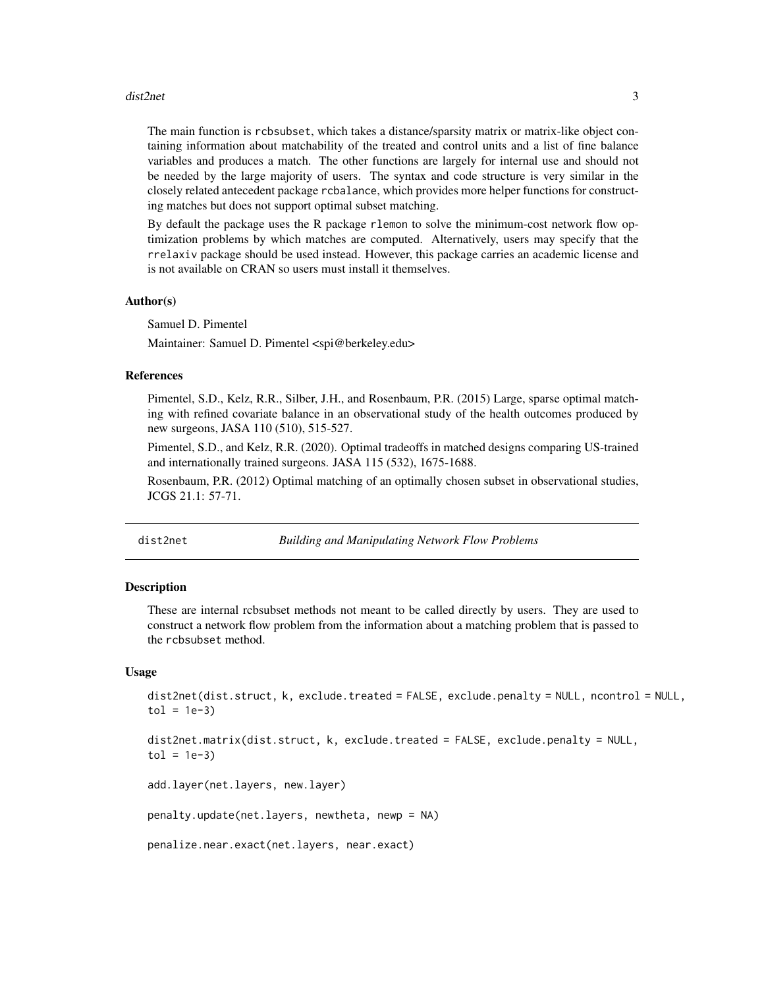#### <span id="page-2-0"></span>dist2net 3

The main function is rcbsubset, which takes a distance/sparsity matrix or matrix-like object containing information about matchability of the treated and control units and a list of fine balance variables and produces a match. The other functions are largely for internal use and should not be needed by the large majority of users. The syntax and code structure is very similar in the closely related antecedent package rcbalance, which provides more helper functions for constructing matches but does not support optimal subset matching.

By default the package uses the R package rlemon to solve the minimum-cost network flow optimization problems by which matches are computed. Alternatively, users may specify that the rrelaxiv package should be used instead. However, this package carries an academic license and is not available on CRAN so users must install it themselves.

# Author(s)

Samuel D. Pimentel

Maintainer: Samuel D. Pimentel <spi@berkeley.edu>

## References

Pimentel, S.D., Kelz, R.R., Silber, J.H., and Rosenbaum, P.R. (2015) Large, sparse optimal matching with refined covariate balance in an observational study of the health outcomes produced by new surgeons, JASA 110 (510), 515-527.

Pimentel, S.D., and Kelz, R.R. (2020). Optimal tradeoffs in matched designs comparing US-trained and internationally trained surgeons. JASA 115 (532), 1675-1688.

Rosenbaum, P.R. (2012) Optimal matching of an optimally chosen subset in observational studies, JCGS 21.1: 57-71.

# dist2net *Building and Manipulating Network Flow Problems*

# Description

These are internal rcbsubset methods not meant to be called directly by users. They are used to construct a network flow problem from the information about a matching problem that is passed to the rcbsubset method.

#### Usage

```
dist2net(dist.struct, k, exclude.treated = FALSE, exclude.penalty = NULL, ncontrol = NULL,
tol = 1e-3)
```

```
dist2net.matrix(dist.struct, k, exclude.treated = FALSE, exclude.penalty = NULL,
tol = 1e-3
```
add.layer(net.layers, new.layer)

penalty.update(net.layers, newtheta, newp = NA)

```
penalize.near.exact(net.layers, near.exact)
```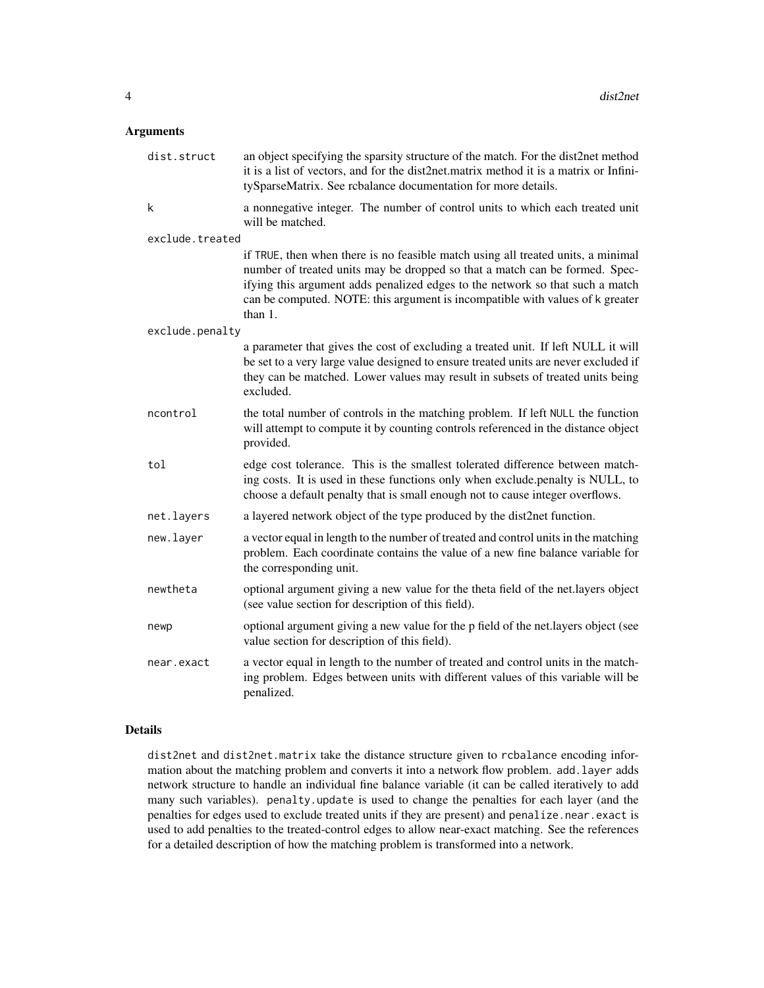# Arguments

| dist.struct     | an object specifying the sparsity structure of the match. For the dist2net method<br>it is a list of vectors, and for the dist2net.matrix method it is a matrix or Infini-<br>tySparseMatrix. See rcbalance documentation for more details.                                                                                                     |
|-----------------|-------------------------------------------------------------------------------------------------------------------------------------------------------------------------------------------------------------------------------------------------------------------------------------------------------------------------------------------------|
| k               | a nonnegative integer. The number of control units to which each treated unit<br>will be matched.                                                                                                                                                                                                                                               |
| exclude.treated |                                                                                                                                                                                                                                                                                                                                                 |
|                 | if TRUE, then when there is no feasible match using all treated units, a minimal<br>number of treated units may be dropped so that a match can be formed. Spec-<br>ifying this argument adds penalized edges to the network so that such a match<br>can be computed. NOTE: this argument is incompatible with values of k greater<br>than $1$ . |
| exclude.penalty |                                                                                                                                                                                                                                                                                                                                                 |
|                 | a parameter that gives the cost of excluding a treated unit. If left NULL it will<br>be set to a very large value designed to ensure treated units are never excluded if<br>they can be matched. Lower values may result in subsets of treated units being<br>excluded.                                                                         |
| ncontrol        | the total number of controls in the matching problem. If left NULL the function<br>will attempt to compute it by counting controls referenced in the distance object<br>provided.                                                                                                                                                               |
| tol             | edge cost tolerance. This is the smallest tolerated difference between match-<br>ing costs. It is used in these functions only when exclude.penalty is NULL, to<br>choose a default penalty that is small enough not to cause integer overflows.                                                                                                |
| net.layers      | a layered network object of the type produced by the dist2net function.                                                                                                                                                                                                                                                                         |
| new.layer       | a vector equal in length to the number of treated and control units in the matching<br>problem. Each coordinate contains the value of a new fine balance variable for<br>the corresponding unit.                                                                                                                                                |
| newtheta        | optional argument giving a new value for the theta field of the net.layers object<br>(see value section for description of this field).                                                                                                                                                                                                         |
| newp            | optional argument giving a new value for the p field of the net.layers object (see<br>value section for description of this field).                                                                                                                                                                                                             |
| near.exact      | a vector equal in length to the number of treated and control units in the match-<br>ing problem. Edges between units with different values of this variable will be<br>penalized.                                                                                                                                                              |

# Details

dist2net and dist2net.matrix take the distance structure given to rcbalance encoding information about the matching problem and converts it into a network flow problem. add.layer adds network structure to handle an individual fine balance variable (it can be called iteratively to add many such variables). penalty.update is used to change the penalties for each layer (and the penalties for edges used to exclude treated units if they are present) and penalize.near.exact is used to add penalties to the treated-control edges to allow near-exact matching. See the references for a detailed description of how the matching problem is transformed into a network.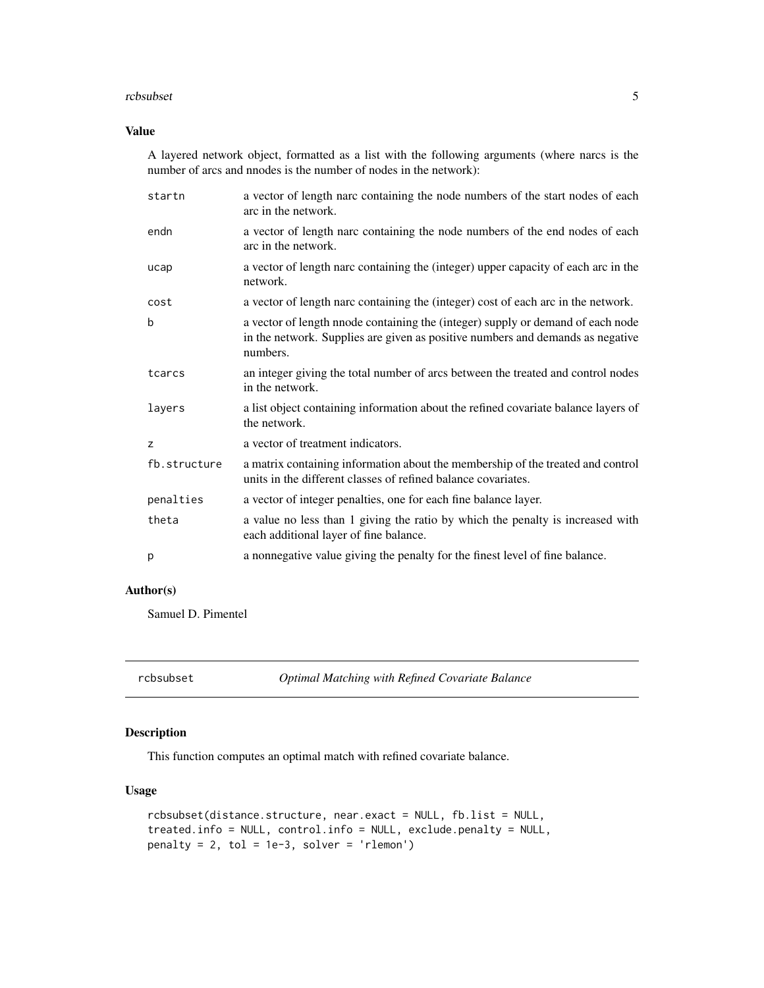#### <span id="page-4-0"></span>rcbsubset 5

# Value

A layered network object, formatted as a list with the following arguments (where narcs is the number of arcs and nnodes is the number of nodes in the network):

| startn       | a vector of length narc containing the node numbers of the start nodes of each<br>arc in the network.                                                                         |
|--------------|-------------------------------------------------------------------------------------------------------------------------------------------------------------------------------|
| endn         | a vector of length narc containing the node numbers of the end nodes of each<br>arc in the network.                                                                           |
| ucap         | a vector of length narc containing the (integer) upper capacity of each arc in the<br>network.                                                                                |
| cost         | a vector of length narc containing the (integer) cost of each arc in the network.                                                                                             |
| b            | a vector of length nnode containing the (integer) supply or demand of each node<br>in the network. Supplies are given as positive numbers and demands as negative<br>numbers. |
| tcarcs       | an integer giving the total number of arcs between the treated and control nodes<br>in the network.                                                                           |
| layers       | a list object containing information about the refined covariate balance layers of<br>the network.                                                                            |
| z            | a vector of treatment indicators.                                                                                                                                             |
| fb.structure | a matrix containing information about the membership of the treated and control<br>units in the different classes of refined balance covariates.                              |
| penalties    | a vector of integer penalties, one for each fine balance layer.                                                                                                               |
| theta        | a value no less than 1 giving the ratio by which the penalty is increased with<br>each additional layer of fine balance.                                                      |
| p            | a nonnegative value giving the penalty for the finest level of fine balance.                                                                                                  |

# Author(s)

Samuel D. Pimentel

rcbsubset *Optimal Matching with Refined Covariate Balance*

# Description

This function computes an optimal match with refined covariate balance.

# Usage

```
rcbsubset(distance.structure, near.exact = NULL, fb.list = NULL,
treated.info = NULL, control.info = NULL, exclude.penalty = NULL,
penalty = 2, tol = 1e-3, solver = 'rlemon')
```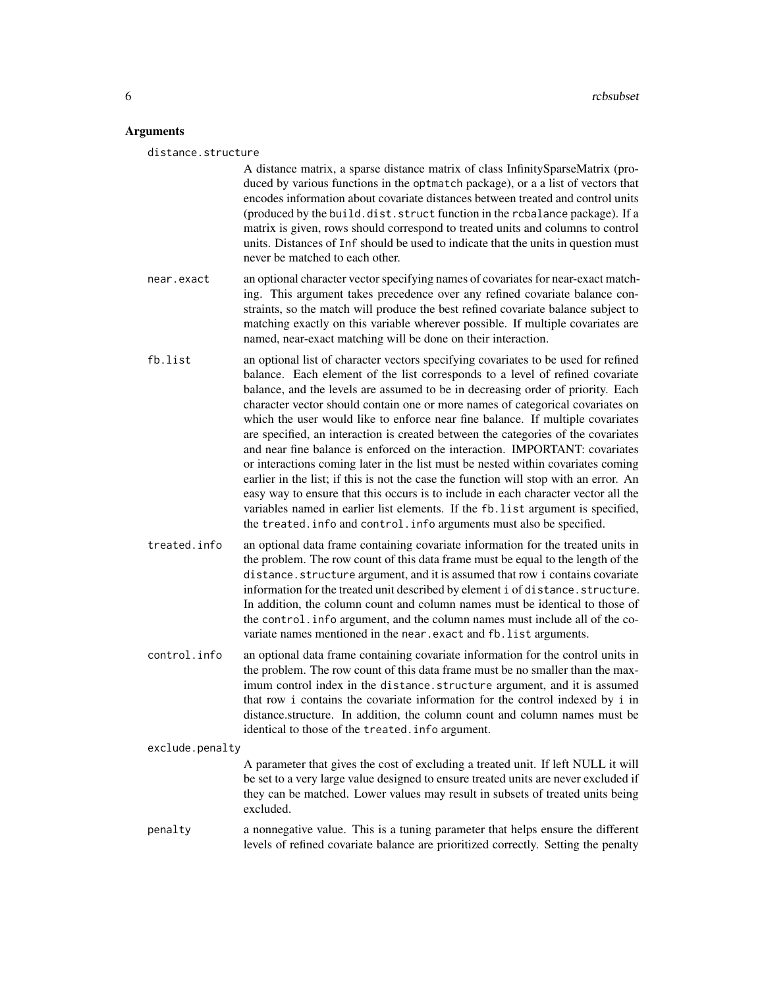# **Arguments**

distance.structure

A distance matrix, a sparse distance matrix of class InfinitySparseMatrix (produced by various functions in the optmatch package), or a a list of vectors that encodes information about covariate distances between treated and control units (produced by the build.dist.struct function in the rcbalance package). If a matrix is given, rows should correspond to treated units and columns to control units. Distances of Inf should be used to indicate that the units in question must never be matched to each other.

- near.exact an optional character vector specifying names of covariates for near-exact matching. This argument takes precedence over any refined covariate balance constraints, so the match will produce the best refined covariate balance subject to matching exactly on this variable wherever possible. If multiple covariates are named, near-exact matching will be done on their interaction.
- fb.list an optional list of character vectors specifying covariates to be used for refined balance. Each element of the list corresponds to a level of refined covariate balance, and the levels are assumed to be in decreasing order of priority. Each character vector should contain one or more names of categorical covariates on which the user would like to enforce near fine balance. If multiple covariates are specified, an interaction is created between the categories of the covariates and near fine balance is enforced on the interaction. IMPORTANT: covariates or interactions coming later in the list must be nested within covariates coming earlier in the list; if this is not the case the function will stop with an error. An easy way to ensure that this occurs is to include in each character vector all the variables named in earlier list elements. If the fb.list argument is specified, the treated.info and control.info arguments must also be specified.
- treated.info an optional data frame containing covariate information for the treated units in the problem. The row count of this data frame must be equal to the length of the distance.structure argument, and it is assumed that row i contains covariate information for the treated unit described by element i of distance.structure. In addition, the column count and column names must be identical to those of the control.info argument, and the column names must include all of the covariate names mentioned in the near.exact and fb.list arguments.
- control.info an optional data frame containing covariate information for the control units in the problem. The row count of this data frame must be no smaller than the maximum control index in the distance.structure argument, and it is assumed that row i contains the covariate information for the control indexed by i in distance.structure. In addition, the column count and column names must be identical to those of the treated.info argument.

#### exclude.penalty

A parameter that gives the cost of excluding a treated unit. If left NULL it will be set to a very large value designed to ensure treated units are never excluded if they can be matched. Lower values may result in subsets of treated units being excluded.

penalty a nonnegative value. This is a tuning parameter that helps ensure the different levels of refined covariate balance are prioritized correctly. Setting the penalty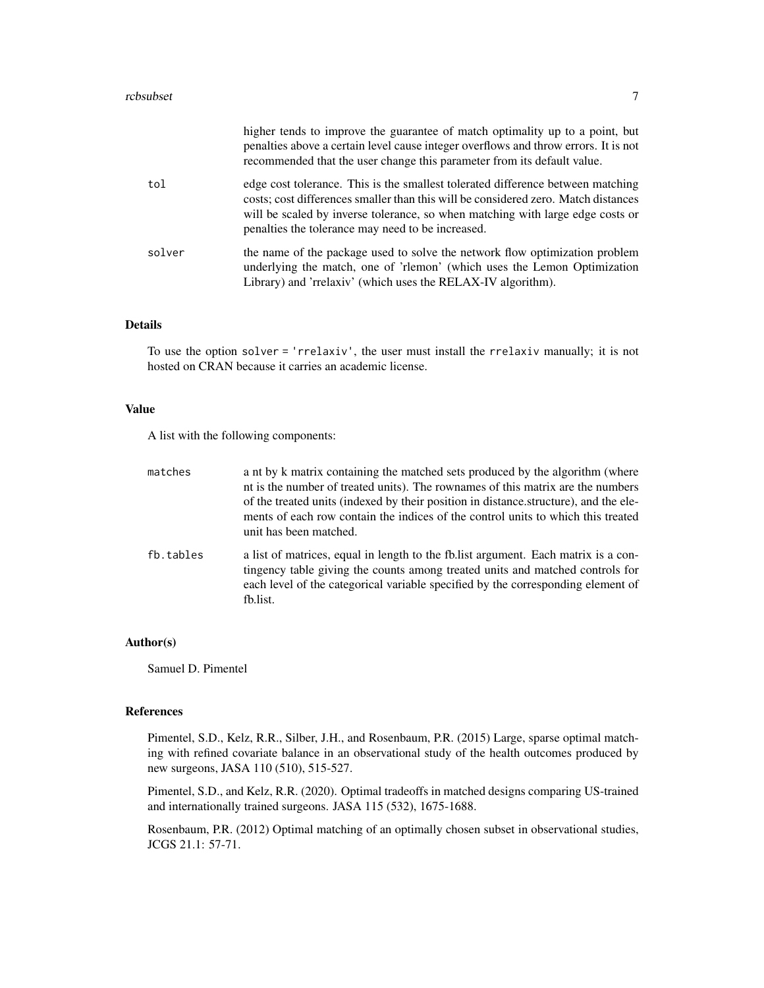|        | higher tends to improve the guarantee of match optimality up to a point, but<br>penalties above a certain level cause integer overflows and throw errors. It is not<br>recommended that the user change this parameter from its default value.                                                               |
|--------|--------------------------------------------------------------------------------------------------------------------------------------------------------------------------------------------------------------------------------------------------------------------------------------------------------------|
| tol    | edge cost tolerance. This is the smallest tolerated difference between matching<br>costs; cost differences smaller than this will be considered zero. Match distances<br>will be scaled by inverse tolerance, so when matching with large edge costs or<br>penalties the tolerance may need to be increased. |
| solver | the name of the package used to solve the network flow optimization problem<br>underlying the match, one of 'rlemon' (which uses the Lemon Optimization<br>Library) and 'rrelaxiv' (which uses the RELAX-IV algorithm).                                                                                      |

# Details

To use the option solver = 'rrelaxiv', the user must install the rrelaxiv manually; it is not hosted on CRAN because it carries an academic license.

# Value

A list with the following components:

| matches   | a nt by k matrix containing the matched sets produced by the algorithm (where<br>nt is the number of treated units). The rownames of this matrix are the numbers<br>of the treated units (indexed by their position in distance structure), and the ele-<br>ments of each row contain the indices of the control units to which this treated<br>unit has been matched. |
|-----------|------------------------------------------------------------------------------------------------------------------------------------------------------------------------------------------------------------------------------------------------------------------------------------------------------------------------------------------------------------------------|
| fb.tables | a list of matrices, equal in length to the fb. list argument. Each matrix is a con-<br>tingency table giving the counts among treated units and matched controls for<br>each level of the categorical variable specified by the corresponding element of<br>fb.list.                                                                                                   |

# Author(s)

Samuel D. Pimentel

#### References

Pimentel, S.D., Kelz, R.R., Silber, J.H., and Rosenbaum, P.R. (2015) Large, sparse optimal matching with refined covariate balance in an observational study of the health outcomes produced by new surgeons, JASA 110 (510), 515-527.

Pimentel, S.D., and Kelz, R.R. (2020). Optimal tradeoffs in matched designs comparing US-trained and internationally trained surgeons. JASA 115 (532), 1675-1688.

Rosenbaum, P.R. (2012) Optimal matching of an optimally chosen subset in observational studies, JCGS 21.1: 57-71.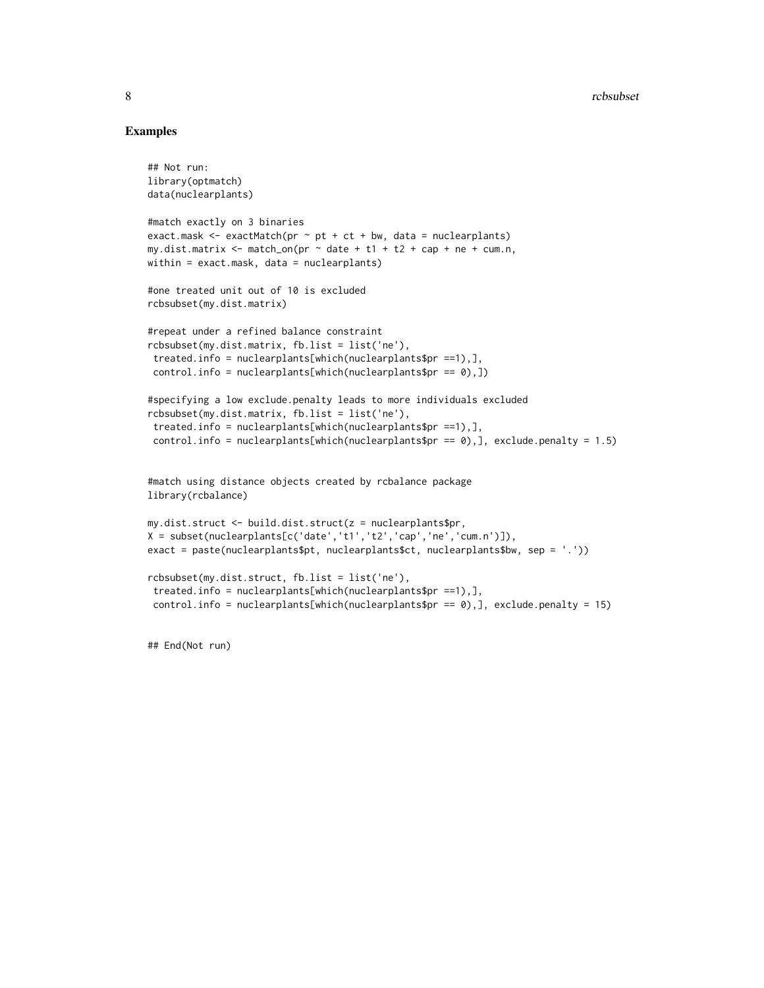# Examples

```
## Not run:
library(optmatch)
data(nuclearplants)
#match exactly on 3 binaries
exact.mask \leq exactMatch(pr \sim pt + ct + bw, data = nuclearplants)
my.dist.matrix \leq match_on(pr \sim date + t1 + t2 + cap + ne + cum.n,
within = exact.mask, data = nuclearplants)
#one treated unit out of 10 is excluded
rcbsubset(my.dist.matrix)
#repeat under a refined balance constraint
rcbsubset(my.dist.matrix, fb.list = list('ne'),
 treated.info = nuclearplants[which(nuclearplants$pr ==1),],
 control.info = nuclear plants[which(nuclear plants$pr == 0),])#specifying a low exclude.penalty leads to more individuals excluded
rcbsubset(my.dist.matrix, fb.list = list('ne'),
 treated.info = nuclearplants[which(nuclearplants$pr ==1),],
 control.info = nuclearplants[which(nuclearplants$pr == \emptyset),], exclude.penalty = 1.5)
#match using distance objects created by rcbalance package
library(rcbalance)
my.dist.struct <- build.dist.struct(z = nuclearplants$pr,
X = subset(nuclear plants[c('date', 't1', 't2', 'cap', 'ne', 'cum.n'))),exact = paste(nuclearplants$pt, nuclearplants$ct, nuclearplants$bw, sep = '.'))
rcbsubset(my.dist.struct, fb.list = list('ne'),
 treated.info = nuclearplants[which(nuclearplants$pr ==1),],
 control.info = nuclearplants[which(nuclearplants$pr == 0),], exclude.penalty = 15)
```
## End(Not run)